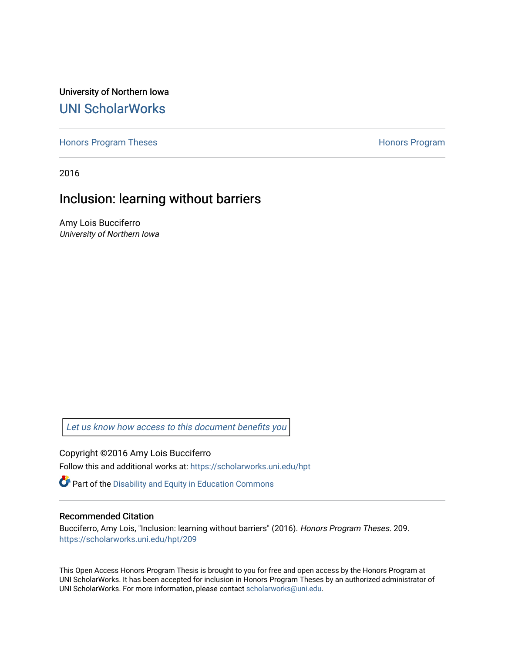University of Northern Iowa [UNI ScholarWorks](https://scholarworks.uni.edu/) 

[Honors Program Theses](https://scholarworks.uni.edu/hpt) **Honors Program** Honors Program

2016

# Inclusion: learning without barriers

Amy Lois Bucciferro University of Northern Iowa

[Let us know how access to this document benefits you](https://scholarworks.uni.edu/feedback_form.html) 

Copyright ©2016 Amy Lois Bucciferro Follow this and additional works at: [https://scholarworks.uni.edu/hpt](https://scholarworks.uni.edu/hpt?utm_source=scholarworks.uni.edu%2Fhpt%2F209&utm_medium=PDF&utm_campaign=PDFCoverPages) 

Part of the [Disability and Equity in Education Commons](http://network.bepress.com/hgg/discipline/1040?utm_source=scholarworks.uni.edu%2Fhpt%2F209&utm_medium=PDF&utm_campaign=PDFCoverPages)

# Recommended Citation

Bucciferro, Amy Lois, "Inclusion: learning without barriers" (2016). Honors Program Theses. 209. [https://scholarworks.uni.edu/hpt/209](https://scholarworks.uni.edu/hpt/209?utm_source=scholarworks.uni.edu%2Fhpt%2F209&utm_medium=PDF&utm_campaign=PDFCoverPages) 

This Open Access Honors Program Thesis is brought to you for free and open access by the Honors Program at UNI ScholarWorks. It has been accepted for inclusion in Honors Program Theses by an authorized administrator of UNI ScholarWorks. For more information, please contact [scholarworks@uni.edu.](mailto:scholarworks@uni.edu)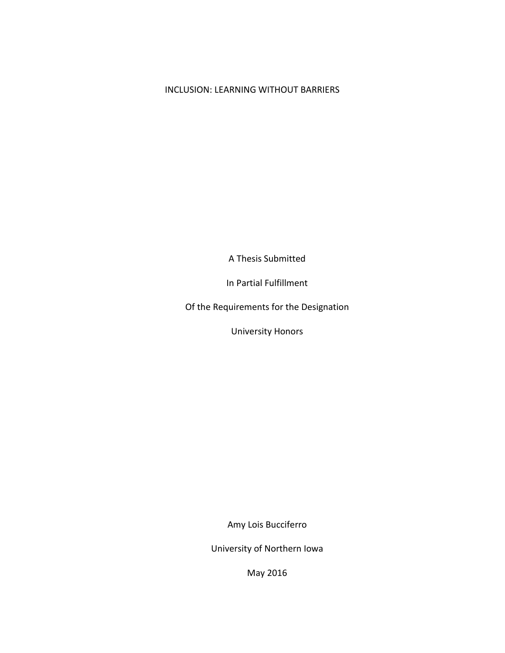# INCLUSION: LEARNING WITHOUT BARRIERS

A Thesis Submitted

In Partial Fulfillment

Of the Requirements for the Designation

University Honors

Amy Lois Bucciferro

University of Northern Iowa

May 2016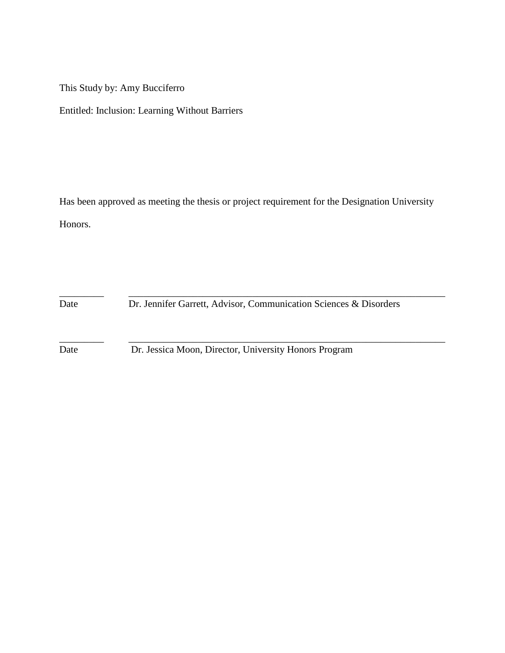This Study by: Amy Bucciferro

Entitled: Inclusion: Learning Without Barriers

Has been approved as meeting the thesis or project requirement for the Designation University Honors.

Date Dr. Jennifer Garrett, Advisor, Communication Sciences & Disorders

\_\_\_\_\_\_\_\_\_ \_\_\_\_\_\_\_\_\_\_\_\_\_\_\_\_\_\_\_\_\_\_\_\_\_\_\_\_\_\_\_\_\_\_\_\_\_\_\_\_\_\_\_\_\_\_\_\_\_\_\_\_\_\_\_\_\_\_\_\_\_\_\_\_

\_\_\_\_\_\_\_\_\_ \_\_\_\_\_\_\_\_\_\_\_\_\_\_\_\_\_\_\_\_\_\_\_\_\_\_\_\_\_\_\_\_\_\_\_\_\_\_\_\_\_\_\_\_\_\_\_\_\_\_\_\_\_\_\_\_\_\_\_\_\_\_\_\_ Date Dr. Jessica Moon, Director, University Honors Program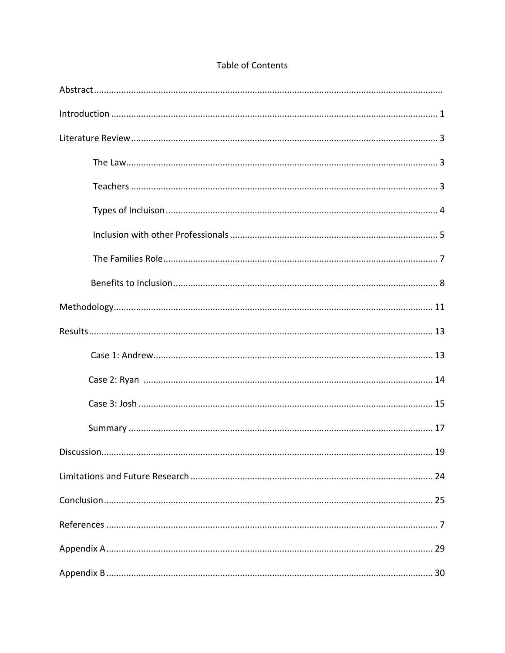| 19 |
|----|
|    |
|    |
|    |
|    |
|    |

# Table of Contents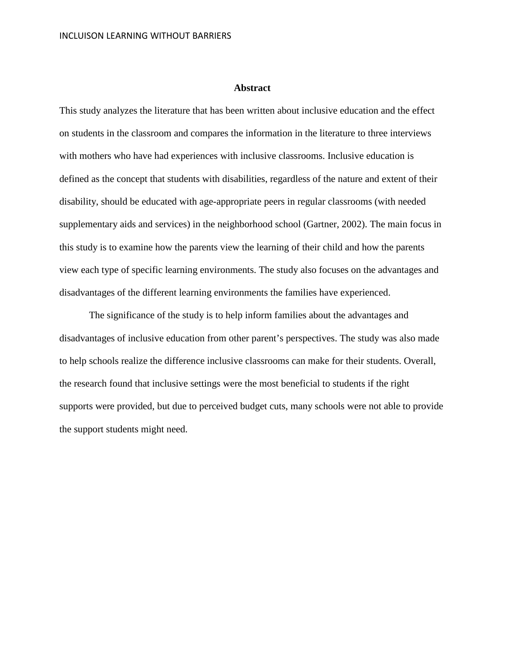#### **Abstract**

This study analyzes the literature that has been written about inclusive education and the effect on students in the classroom and compares the information in the literature to three interviews with mothers who have had experiences with inclusive classrooms. Inclusive education is defined as the concept that students with disabilities, regardless of the nature and extent of their disability, should be educated with age-appropriate peers in regular classrooms (with needed supplementary aids and services) in the neighborhood school (Gartner, 2002). The main focus in this study is to examine how the parents view the learning of their child and how the parents view each type of specific learning environments. The study also focuses on the advantages and disadvantages of the different learning environments the families have experienced.

The significance of the study is to help inform families about the advantages and disadvantages of inclusive education from other parent's perspectives. The study was also made to help schools realize the difference inclusive classrooms can make for their students. Overall, the research found that inclusive settings were the most beneficial to students if the right supports were provided, but due to perceived budget cuts, many schools were not able to provide the support students might need.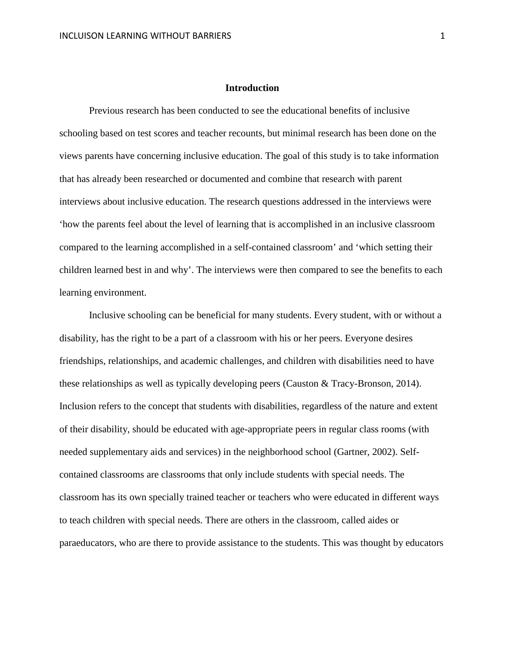## **Introduction**

Previous research has been conducted to see the educational benefits of inclusive schooling based on test scores and teacher recounts, but minimal research has been done on the views parents have concerning inclusive education. The goal of this study is to take information that has already been researched or documented and combine that research with parent interviews about inclusive education. The research questions addressed in the interviews were 'how the parents feel about the level of learning that is accomplished in an inclusive classroom compared to the learning accomplished in a self-contained classroom' and 'which setting their children learned best in and why'. The interviews were then compared to see the benefits to each learning environment.

Inclusive schooling can be beneficial for many students. Every student, with or without a disability, has the right to be a part of a classroom with his or her peers. Everyone desires friendships, relationships, and academic challenges, and children with disabilities need to have these relationships as well as typically developing peers (Causton & Tracy-Bronson, 2014). Inclusion refers to the concept that students with disabilities, regardless of the nature and extent of their disability, should be educated with age-appropriate peers in regular class rooms (with needed supplementary aids and services) in the neighborhood school (Gartner, 2002). Selfcontained classrooms are classrooms that only include students with special needs. The classroom has its own specially trained teacher or teachers who were educated in different ways to teach children with special needs. There are others in the classroom, called aides or paraeducators, who are there to provide assistance to the students. This was thought by educators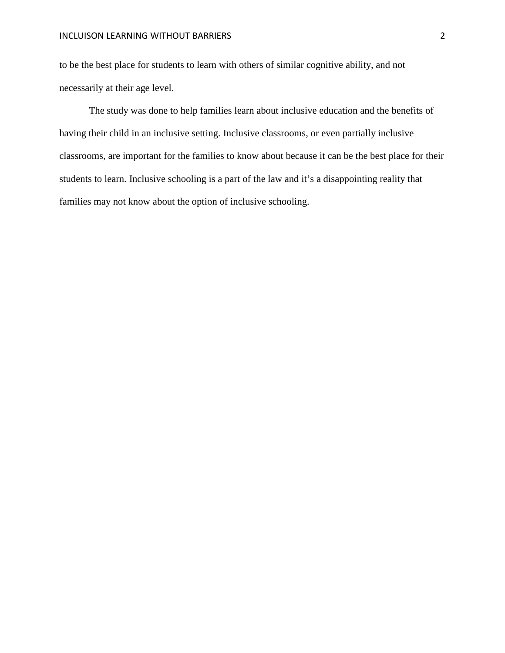to be the best place for students to learn with others of similar cognitive ability, and not necessarily at their age level.

The study was done to help families learn about inclusive education and the benefits of having their child in an inclusive setting. Inclusive classrooms, or even partially inclusive classrooms, are important for the families to know about because it can be the best place for their students to learn. Inclusive schooling is a part of the law and it's a disappointing reality that families may not know about the option of inclusive schooling.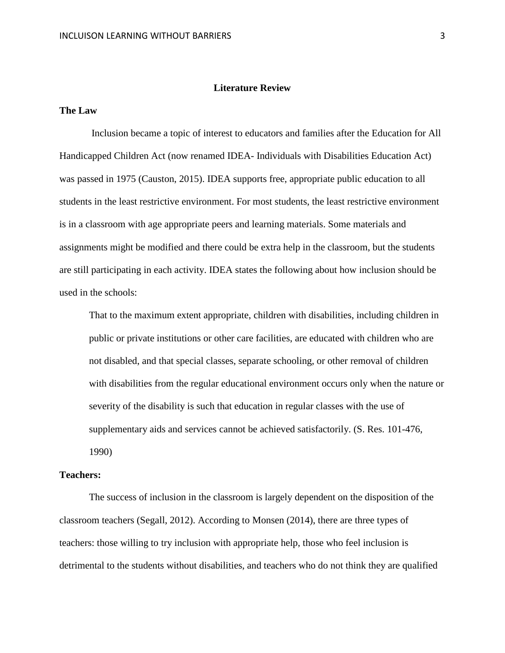# **Literature Review**

# **The Law**

Inclusion became a topic of interest to educators and families after the Education for All Handicapped Children Act (now renamed IDEA- Individuals with Disabilities Education Act) was passed in 1975 (Causton, 2015). IDEA supports free, appropriate public education to all students in the least restrictive environment. For most students, the least restrictive environment is in a classroom with age appropriate peers and learning materials. Some materials and assignments might be modified and there could be extra help in the classroom, but the students are still participating in each activity. IDEA states the following about how inclusion should be used in the schools:

That to the maximum extent appropriate, children with disabilities, including children in public or private institutions or other care facilities, are educated with children who are not disabled, and that special classes, separate schooling, or other removal of children with disabilities from the regular educational environment occurs only when the nature or severity of the disability is such that education in regular classes with the use of supplementary aids and services cannot be achieved satisfactorily. (S. Res. 101-476, 1990)

#### **Teachers:**

The success of inclusion in the classroom is largely dependent on the disposition of the classroom teachers (Segall, 2012). According to Monsen (2014), there are three types of teachers: those willing to try inclusion with appropriate help, those who feel inclusion is detrimental to the students without disabilities, and teachers who do not think they are qualified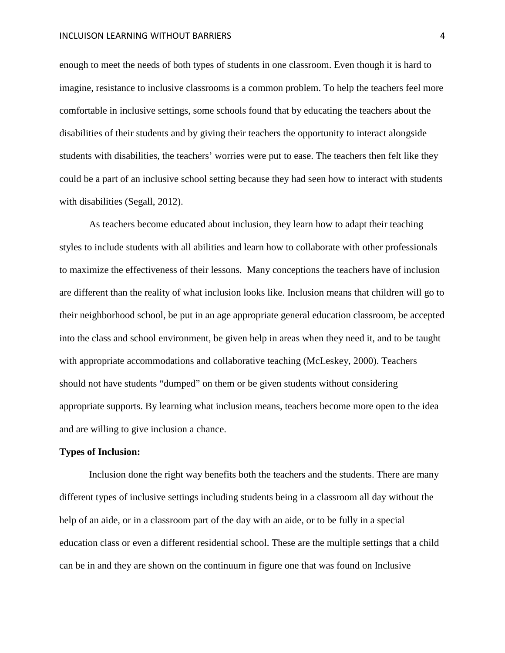#### INCLUISON LEARNING WITHOUT BARRIERS 4

enough to meet the needs of both types of students in one classroom. Even though it is hard to imagine, resistance to inclusive classrooms is a common problem. To help the teachers feel more comfortable in inclusive settings, some schools found that by educating the teachers about the disabilities of their students and by giving their teachers the opportunity to interact alongside students with disabilities, the teachers' worries were put to ease. The teachers then felt like they could be a part of an inclusive school setting because they had seen how to interact with students with disabilities (Segall, 2012).

As teachers become educated about inclusion, they learn how to adapt their teaching styles to include students with all abilities and learn how to collaborate with other professionals to maximize the effectiveness of their lessons. Many conceptions the teachers have of inclusion are different than the reality of what inclusion looks like. Inclusion means that children will go to their neighborhood school, be put in an age appropriate general education classroom, be accepted into the class and school environment, be given help in areas when they need it, and to be taught with appropriate accommodations and collaborative teaching (McLeskey, 2000). Teachers should not have students "dumped" on them or be given students without considering appropriate supports. By learning what inclusion means, teachers become more open to the idea and are willing to give inclusion a chance.

### **Types of Inclusion:**

Inclusion done the right way benefits both the teachers and the students. There are many different types of inclusive settings including students being in a classroom all day without the help of an aide, or in a classroom part of the day with an aide, or to be fully in a special education class or even a different residential school. These are the multiple settings that a child can be in and they are shown on the continuum in figure one that was found on Inclusive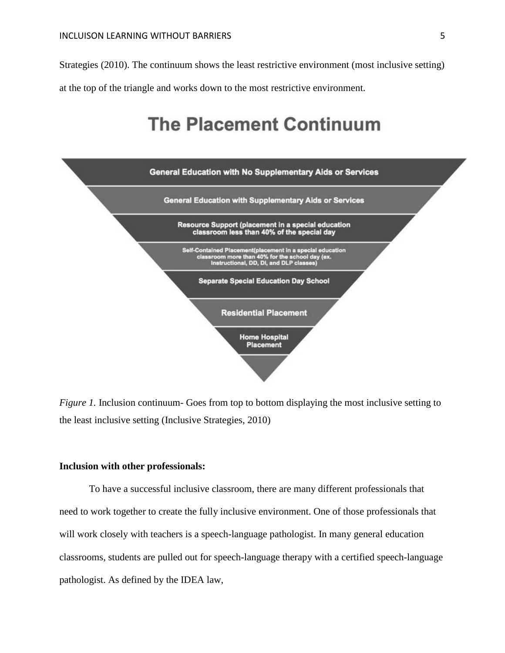Strategies (2010). The continuum shows the least restrictive environment (most inclusive setting) at the top of the triangle and works down to the most restrictive environment.

# **The Placement Continuum**



*Figure 1.* Inclusion continuum- Goes from top to bottom displaying the most inclusive setting to the least inclusive setting (Inclusive Strategies, 2010)

# **Inclusion with other professionals:**

To have a successful inclusive classroom, there are many different professionals that need to work together to create the fully inclusive environment. One of those professionals that will work closely with teachers is a speech-language pathologist. In many general education classrooms, students are pulled out for speech-language therapy with a certified speech-language pathologist. As defined by the IDEA law,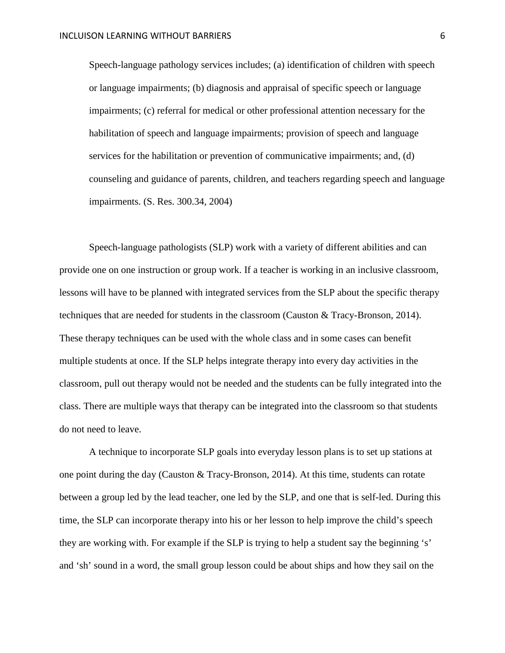Speech-language pathology services includes; (a) identification of children with speech or language impairments; (b) diagnosis and appraisal of specific speech or language impairments; (c) referral for medical or other professional attention necessary for the habilitation of speech and language impairments; provision of speech and language services for the habilitation or prevention of communicative impairments; and, (d) counseling and guidance of parents, children, and teachers regarding speech and language impairments. (S. Res. 300.34, 2004)

Speech-language pathologists (SLP) work with a variety of different abilities and can provide one on one instruction or group work. If a teacher is working in an inclusive classroom, lessons will have to be planned with integrated services from the SLP about the specific therapy techniques that are needed for students in the classroom (Causton & Tracy-Bronson, 2014). These therapy techniques can be used with the whole class and in some cases can benefit multiple students at once. If the SLP helps integrate therapy into every day activities in the classroom, pull out therapy would not be needed and the students can be fully integrated into the class. There are multiple ways that therapy can be integrated into the classroom so that students do not need to leave.

A technique to incorporate SLP goals into everyday lesson plans is to set up stations at one point during the day (Causton & Tracy-Bronson, 2014). At this time, students can rotate between a group led by the lead teacher, one led by the SLP, and one that is self-led. During this time, the SLP can incorporate therapy into his or her lesson to help improve the child's speech they are working with. For example if the SLP is trying to help a student say the beginning 's' and 'sh' sound in a word, the small group lesson could be about ships and how they sail on the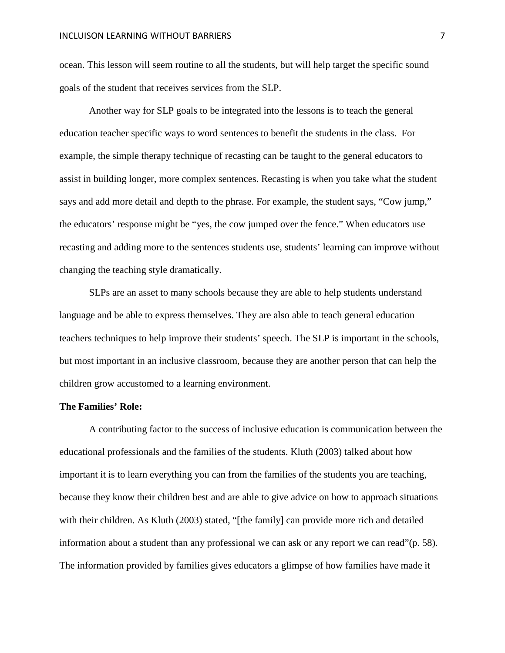ocean. This lesson will seem routine to all the students, but will help target the specific sound goals of the student that receives services from the SLP.

Another way for SLP goals to be integrated into the lessons is to teach the general education teacher specific ways to word sentences to benefit the students in the class. For example, the simple therapy technique of recasting can be taught to the general educators to assist in building longer, more complex sentences. Recasting is when you take what the student says and add more detail and depth to the phrase. For example, the student says, "Cow jump," the educators' response might be "yes, the cow jumped over the fence." When educators use recasting and adding more to the sentences students use, students' learning can improve without changing the teaching style dramatically.

SLPs are an asset to many schools because they are able to help students understand language and be able to express themselves. They are also able to teach general education teachers techniques to help improve their students' speech. The SLP is important in the schools, but most important in an inclusive classroom, because they are another person that can help the children grow accustomed to a learning environment.

# **The Families' Role:**

A contributing factor to the success of inclusive education is communication between the educational professionals and the families of the students. Kluth (2003) talked about how important it is to learn everything you can from the families of the students you are teaching, because they know their children best and are able to give advice on how to approach situations with their children. As Kluth (2003) stated, "[the family] can provide more rich and detailed information about a student than any professional we can ask or any report we can read"(p. 58). The information provided by families gives educators a glimpse of how families have made it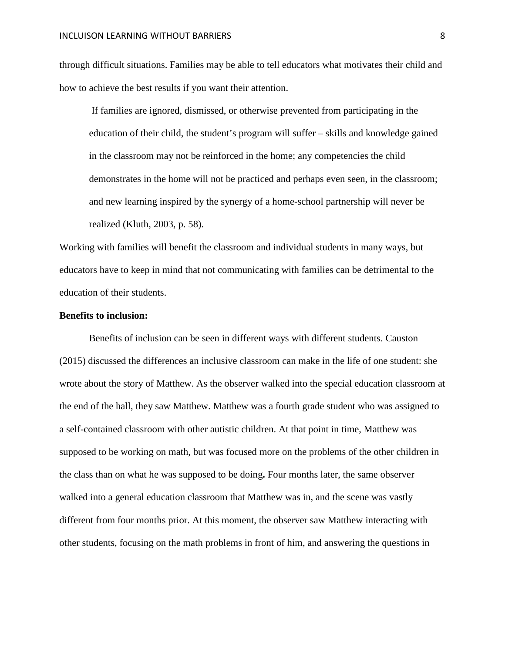through difficult situations. Families may be able to tell educators what motivates their child and how to achieve the best results if you want their attention.

If families are ignored, dismissed, or otherwise prevented from participating in the education of their child, the student's program will suffer – skills and knowledge gained in the classroom may not be reinforced in the home; any competencies the child demonstrates in the home will not be practiced and perhaps even seen, in the classroom; and new learning inspired by the synergy of a home-school partnership will never be realized (Kluth, 2003, p. 58).

Working with families will benefit the classroom and individual students in many ways, but educators have to keep in mind that not communicating with families can be detrimental to the education of their students.

# **Benefits to inclusion:**

Benefits of inclusion can be seen in different ways with different students. Causton (2015) discussed the differences an inclusive classroom can make in the life of one student: she wrote about the story of Matthew. As the observer walked into the special education classroom at the end of the hall, they saw Matthew. Matthew was a fourth grade student who was assigned to a self-contained classroom with other autistic children. At that point in time, Matthew was supposed to be working on math, but was focused more on the problems of the other children in the class than on what he was supposed to be doing**.** Four months later, the same observer walked into a general education classroom that Matthew was in, and the scene was vastly different from four months prior. At this moment, the observer saw Matthew interacting with other students, focusing on the math problems in front of him, and answering the questions in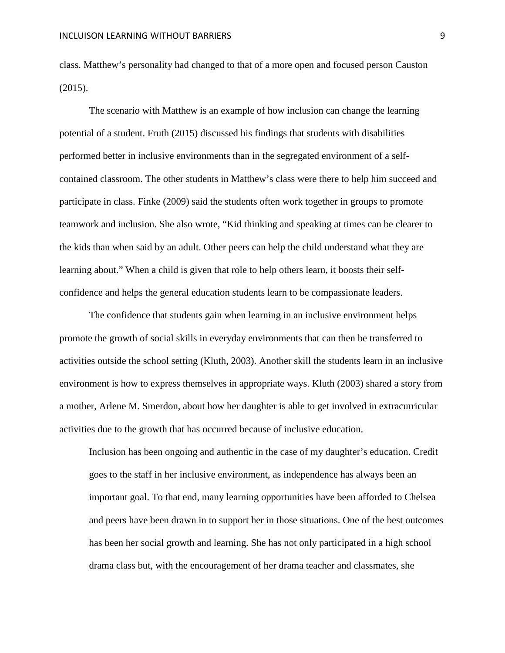class. Matthew's personality had changed to that of a more open and focused person Causton (2015).

The scenario with Matthew is an example of how inclusion can change the learning potential of a student. Fruth (2015) discussed his findings that students with disabilities performed better in inclusive environments than in the segregated environment of a selfcontained classroom. The other students in Matthew's class were there to help him succeed and participate in class. Finke (2009) said the students often work together in groups to promote teamwork and inclusion. She also wrote, "Kid thinking and speaking at times can be clearer to the kids than when said by an adult. Other peers can help the child understand what they are learning about." When a child is given that role to help others learn, it boosts their selfconfidence and helps the general education students learn to be compassionate leaders.

The confidence that students gain when learning in an inclusive environment helps promote the growth of social skills in everyday environments that can then be transferred to activities outside the school setting (Kluth, 2003). Another skill the students learn in an inclusive environment is how to express themselves in appropriate ways. Kluth (2003) shared a story from a mother, Arlene M. Smerdon, about how her daughter is able to get involved in extracurricular activities due to the growth that has occurred because of inclusive education.

Inclusion has been ongoing and authentic in the case of my daughter's education. Credit goes to the staff in her inclusive environment, as independence has always been an important goal. To that end, many learning opportunities have been afforded to Chelsea and peers have been drawn in to support her in those situations. One of the best outcomes has been her social growth and learning. She has not only participated in a high school drama class but, with the encouragement of her drama teacher and classmates, she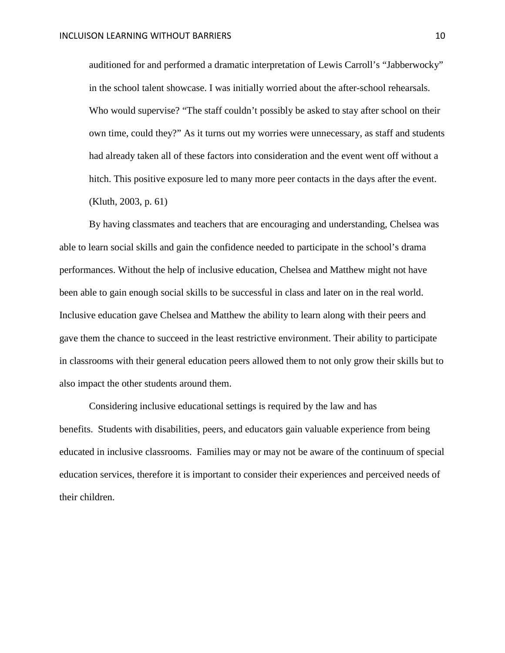auditioned for and performed a dramatic interpretation of Lewis Carroll's "Jabberwocky" in the school talent showcase. I was initially worried about the after-school rehearsals. Who would supervise? "The staff couldn't possibly be asked to stay after school on their own time, could they?" As it turns out my worries were unnecessary, as staff and students had already taken all of these factors into consideration and the event went off without a hitch. This positive exposure led to many more peer contacts in the days after the event. (Kluth, 2003, p. 61)

By having classmates and teachers that are encouraging and understanding, Chelsea was able to learn social skills and gain the confidence needed to participate in the school's drama performances. Without the help of inclusive education, Chelsea and Matthew might not have been able to gain enough social skills to be successful in class and later on in the real world. Inclusive education gave Chelsea and Matthew the ability to learn along with their peers and gave them the chance to succeed in the least restrictive environment. Their ability to participate in classrooms with their general education peers allowed them to not only grow their skills but to also impact the other students around them.

Considering inclusive educational settings is required by the law and has benefits. Students with disabilities, peers, and educators gain valuable experience from being educated in inclusive classrooms. Families may or may not be aware of the continuum of special education services, therefore it is important to consider their experiences and perceived needs of their children.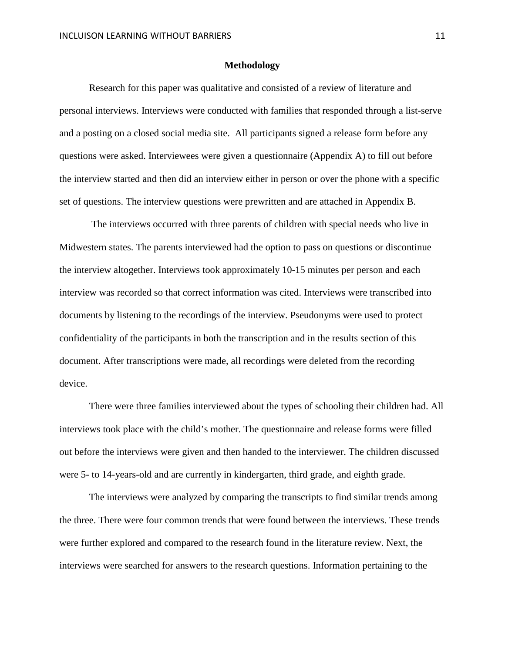#### **Methodology**

Research for this paper was qualitative and consisted of a review of literature and personal interviews. Interviews were conducted with families that responded through a list-serve and a posting on a closed social media site. All participants signed a release form before any questions were asked. Interviewees were given a questionnaire (Appendix A) to fill out before the interview started and then did an interview either in person or over the phone with a specific set of questions. The interview questions were prewritten and are attached in Appendix B.

The interviews occurred with three parents of children with special needs who live in Midwestern states. The parents interviewed had the option to pass on questions or discontinue the interview altogether. Interviews took approximately 10-15 minutes per person and each interview was recorded so that correct information was cited. Interviews were transcribed into documents by listening to the recordings of the interview. Pseudonyms were used to protect confidentiality of the participants in both the transcription and in the results section of this document. After transcriptions were made, all recordings were deleted from the recording device.

There were three families interviewed about the types of schooling their children had. All interviews took place with the child's mother. The questionnaire and release forms were filled out before the interviews were given and then handed to the interviewer. The children discussed were 5- to 14-years-old and are currently in kindergarten, third grade, and eighth grade.

The interviews were analyzed by comparing the transcripts to find similar trends among the three. There were four common trends that were found between the interviews. These trends were further explored and compared to the research found in the literature review. Next, the interviews were searched for answers to the research questions. Information pertaining to the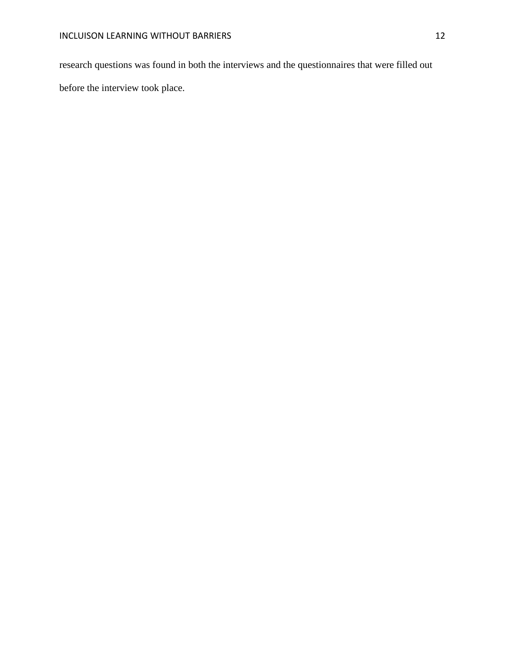research questions was found in both the interviews and the questionnaires that were filled out before the interview took place.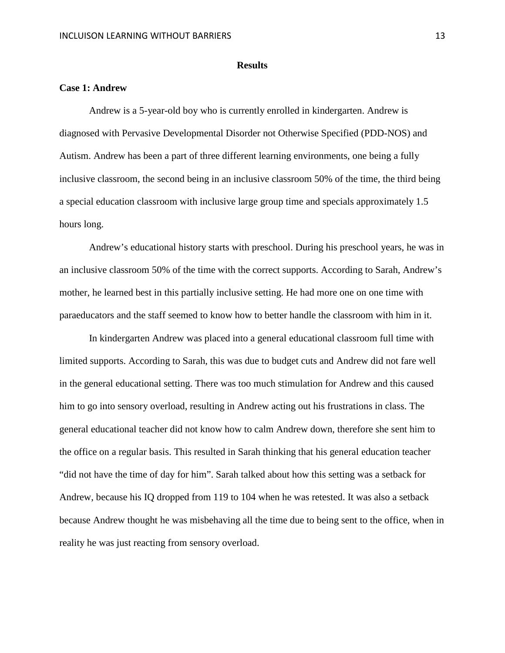#### **Results**

# **Case 1: Andrew**

Andrew is a 5-year-old boy who is currently enrolled in kindergarten. Andrew is diagnosed with Pervasive Developmental Disorder not Otherwise Specified (PDD-NOS) and Autism. Andrew has been a part of three different learning environments, one being a fully inclusive classroom, the second being in an inclusive classroom 50% of the time, the third being a special education classroom with inclusive large group time and specials approximately 1.5 hours long.

Andrew's educational history starts with preschool. During his preschool years, he was in an inclusive classroom 50% of the time with the correct supports. According to Sarah, Andrew's mother, he learned best in this partially inclusive setting. He had more one on one time with paraeducators and the staff seemed to know how to better handle the classroom with him in it.

In kindergarten Andrew was placed into a general educational classroom full time with limited supports. According to Sarah, this was due to budget cuts and Andrew did not fare well in the general educational setting. There was too much stimulation for Andrew and this caused him to go into sensory overload, resulting in Andrew acting out his frustrations in class. The general educational teacher did not know how to calm Andrew down, therefore she sent him to the office on a regular basis. This resulted in Sarah thinking that his general education teacher "did not have the time of day for him". Sarah talked about how this setting was a setback for Andrew, because his IQ dropped from 119 to 104 when he was retested. It was also a setback because Andrew thought he was misbehaving all the time due to being sent to the office, when in reality he was just reacting from sensory overload.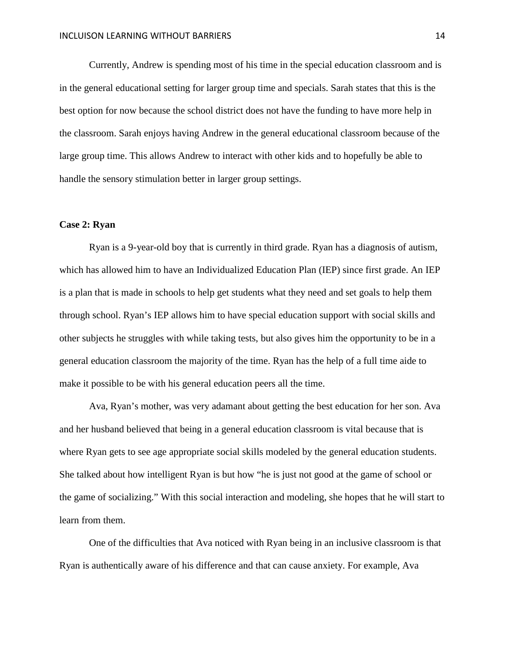Currently, Andrew is spending most of his time in the special education classroom and is in the general educational setting for larger group time and specials. Sarah states that this is the best option for now because the school district does not have the funding to have more help in the classroom. Sarah enjoys having Andrew in the general educational classroom because of the large group time. This allows Andrew to interact with other kids and to hopefully be able to handle the sensory stimulation better in larger group settings.

# **Case 2: Ryan**

Ryan is a 9-year-old boy that is currently in third grade. Ryan has a diagnosis of autism, which has allowed him to have an Individualized Education Plan (IEP) since first grade. An IEP is a plan that is made in schools to help get students what they need and set goals to help them through school. Ryan's IEP allows him to have special education support with social skills and other subjects he struggles with while taking tests, but also gives him the opportunity to be in a general education classroom the majority of the time. Ryan has the help of a full time aide to make it possible to be with his general education peers all the time.

Ava, Ryan's mother, was very adamant about getting the best education for her son. Ava and her husband believed that being in a general education classroom is vital because that is where Ryan gets to see age appropriate social skills modeled by the general education students. She talked about how intelligent Ryan is but how "he is just not good at the game of school or the game of socializing." With this social interaction and modeling, she hopes that he will start to learn from them.

One of the difficulties that Ava noticed with Ryan being in an inclusive classroom is that Ryan is authentically aware of his difference and that can cause anxiety. For example, Ava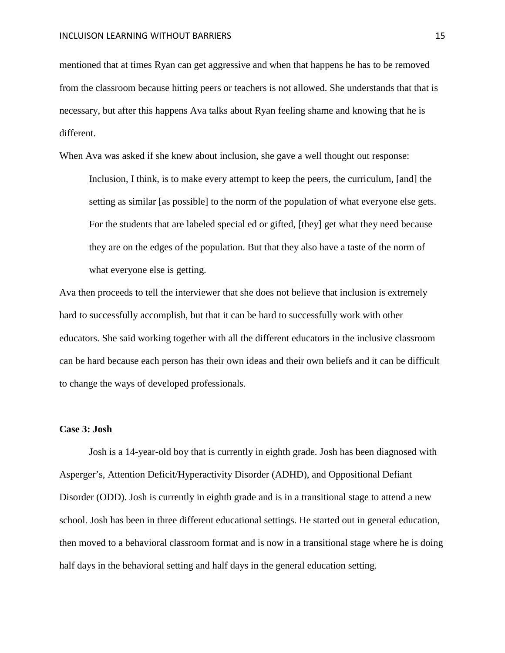mentioned that at times Ryan can get aggressive and when that happens he has to be removed from the classroom because hitting peers or teachers is not allowed. She understands that that is necessary, but after this happens Ava talks about Ryan feeling shame and knowing that he is different.

When Ava was asked if she knew about inclusion, she gave a well thought out response: Inclusion, I think, is to make every attempt to keep the peers, the curriculum, [and] the setting as similar [as possible] to the norm of the population of what everyone else gets. For the students that are labeled special ed or gifted, [they] get what they need because they are on the edges of the population. But that they also have a taste of the norm of what everyone else is getting.

Ava then proceeds to tell the interviewer that she does not believe that inclusion is extremely hard to successfully accomplish, but that it can be hard to successfully work with other educators. She said working together with all the different educators in the inclusive classroom can be hard because each person has their own ideas and their own beliefs and it can be difficult to change the ways of developed professionals.

### **Case 3: Josh**

Josh is a 14-year-old boy that is currently in eighth grade. Josh has been diagnosed with Asperger's, Attention Deficit/Hyperactivity Disorder (ADHD), and Oppositional Defiant Disorder (ODD). Josh is currently in eighth grade and is in a transitional stage to attend a new school. Josh has been in three different educational settings. He started out in general education, then moved to a behavioral classroom format and is now in a transitional stage where he is doing half days in the behavioral setting and half days in the general education setting.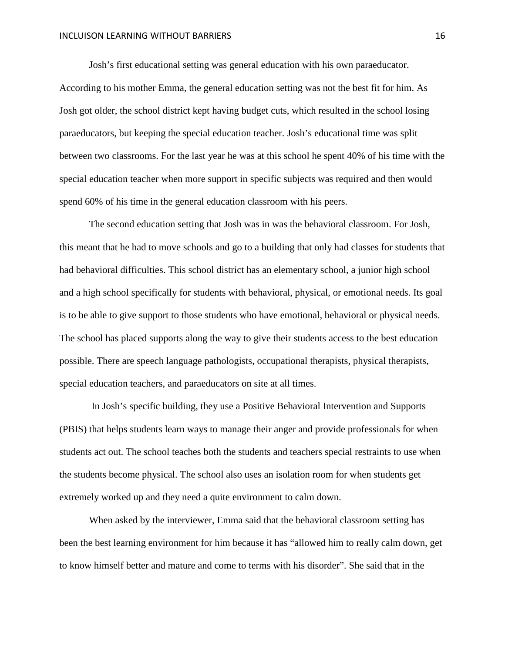Josh's first educational setting was general education with his own paraeducator. According to his mother Emma, the general education setting was not the best fit for him. As Josh got older, the school district kept having budget cuts, which resulted in the school losing paraeducators, but keeping the special education teacher. Josh's educational time was split between two classrooms. For the last year he was at this school he spent 40% of his time with the special education teacher when more support in specific subjects was required and then would spend 60% of his time in the general education classroom with his peers.

The second education setting that Josh was in was the behavioral classroom. For Josh, this meant that he had to move schools and go to a building that only had classes for students that had behavioral difficulties. This school district has an elementary school, a junior high school and a high school specifically for students with behavioral, physical, or emotional needs. Its goal is to be able to give support to those students who have emotional, behavioral or physical needs. The school has placed supports along the way to give their students access to the best education possible. There are speech language pathologists, occupational therapists, physical therapists, special education teachers, and paraeducators on site at all times.

In Josh's specific building, they use a Positive Behavioral Intervention and Supports (PBIS) that helps students learn ways to manage their anger and provide professionals for when students act out. The school teaches both the students and teachers special restraints to use when the students become physical. The school also uses an isolation room for when students get extremely worked up and they need a quite environment to calm down.

When asked by the interviewer, Emma said that the behavioral classroom setting has been the best learning environment for him because it has "allowed him to really calm down, get to know himself better and mature and come to terms with his disorder". She said that in the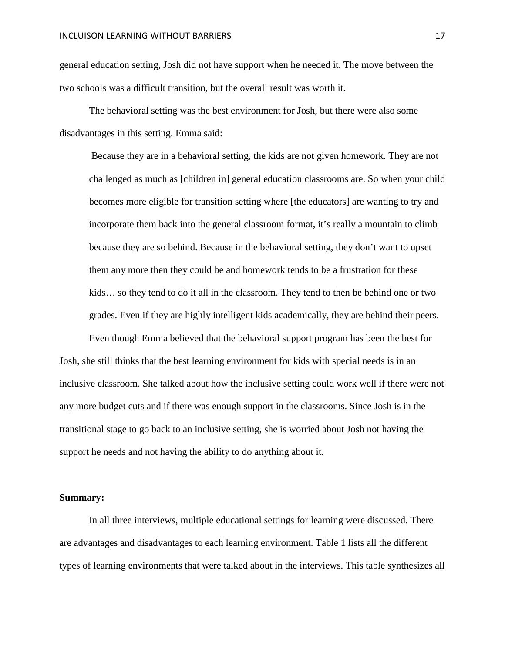general education setting, Josh did not have support when he needed it. The move between the two schools was a difficult transition, but the overall result was worth it.

The behavioral setting was the best environment for Josh, but there were also some disadvantages in this setting. Emma said:

Because they are in a behavioral setting, the kids are not given homework. They are not challenged as much as [children in] general education classrooms are. So when your child becomes more eligible for transition setting where [the educators] are wanting to try and incorporate them back into the general classroom format, it's really a mountain to climb because they are so behind. Because in the behavioral setting, they don't want to upset them any more then they could be and homework tends to be a frustration for these kids… so they tend to do it all in the classroom. They tend to then be behind one or two grades. Even if they are highly intelligent kids academically, they are behind their peers.

Even though Emma believed that the behavioral support program has been the best for Josh, she still thinks that the best learning environment for kids with special needs is in an inclusive classroom. She talked about how the inclusive setting could work well if there were not any more budget cuts and if there was enough support in the classrooms. Since Josh is in the transitional stage to go back to an inclusive setting, she is worried about Josh not having the support he needs and not having the ability to do anything about it.

#### **Summary:**

In all three interviews, multiple educational settings for learning were discussed. There are advantages and disadvantages to each learning environment. Table 1 lists all the different types of learning environments that were talked about in the interviews. This table synthesizes all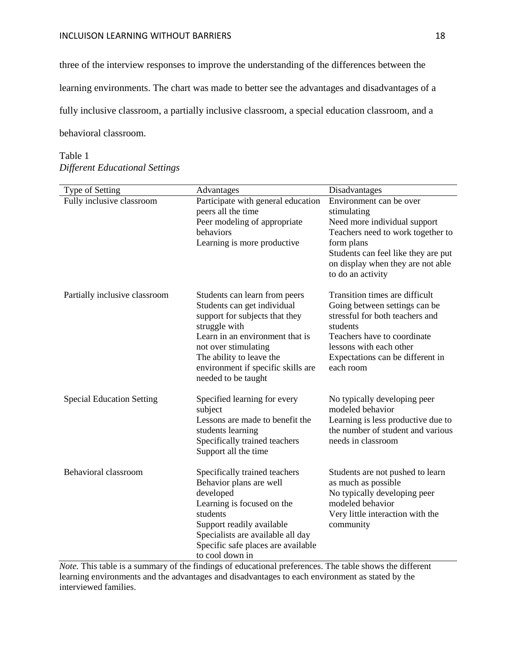### **INCLUISON LEARNING WITHOUT BARRIERS** 18

three of the interview responses to improve the understanding of the differences between the learning environments. The chart was made to better see the advantages and disadvantages of a fully inclusive classroom, a partially inclusive classroom, a special education classroom, and a behavioral classroom.

# Table 1 *Different Educational Settings*

| Type of Setting                  | Advantages                                                                                                                                                                                                                                                          | Disadvantages                                                                                                                                                                                                              |
|----------------------------------|---------------------------------------------------------------------------------------------------------------------------------------------------------------------------------------------------------------------------------------------------------------------|----------------------------------------------------------------------------------------------------------------------------------------------------------------------------------------------------------------------------|
| Fully inclusive classroom        | Participate with general education<br>peers all the time<br>Peer modeling of appropriate<br>behaviors<br>Learning is more productive                                                                                                                                | Environment can be over<br>stimulating<br>Need more individual support<br>Teachers need to work together to<br>form plans<br>Students can feel like they are put<br>on display when they are not able<br>to do an activity |
| Partially inclusive classroom    | Students can learn from peers<br>Students can get individual<br>support for subjects that they<br>struggle with<br>Learn in an environment that is<br>not over stimulating<br>The ability to leave the<br>environment if specific skills are<br>needed to be taught | Transition times are difficult<br>Going between settings can be<br>stressful for both teachers and<br>students<br>Teachers have to coordinate<br>lessons with each other<br>Expectations can be different in<br>each room  |
| <b>Special Education Setting</b> | Specified learning for every<br>subject<br>Lessons are made to benefit the<br>students learning<br>Specifically trained teachers<br>Support all the time                                                                                                            | No typically developing peer<br>modeled behavior<br>Learning is less productive due to<br>the number of student and various<br>needs in classroom                                                                          |
| Behavioral classroom             | Specifically trained teachers<br>Behavior plans are well<br>developed<br>Learning is focused on the<br>students<br>Support readily available<br>Specialists are available all day<br>Specific safe places are available<br>to cool down in                          | Students are not pushed to learn<br>as much as possible<br>No typically developing peer<br>modeled behavior<br>Very little interaction with the<br>community                                                               |

*Note.* This table is a summary of the findings of educational preferences. The table shows the different learning environments and the advantages and disadvantages to each environment as stated by the interviewed families.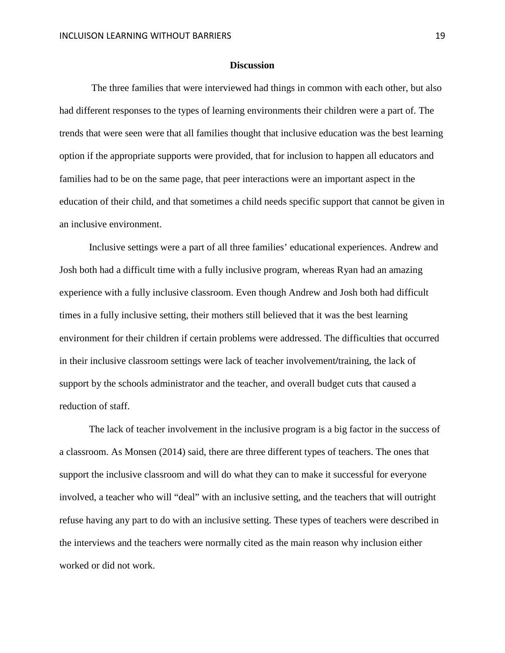#### **Discussion**

The three families that were interviewed had things in common with each other, but also had different responses to the types of learning environments their children were a part of. The trends that were seen were that all families thought that inclusive education was the best learning option if the appropriate supports were provided, that for inclusion to happen all educators and families had to be on the same page, that peer interactions were an important aspect in the education of their child, and that sometimes a child needs specific support that cannot be given in an inclusive environment.

Inclusive settings were a part of all three families' educational experiences. Andrew and Josh both had a difficult time with a fully inclusive program, whereas Ryan had an amazing experience with a fully inclusive classroom. Even though Andrew and Josh both had difficult times in a fully inclusive setting, their mothers still believed that it was the best learning environment for their children if certain problems were addressed. The difficulties that occurred in their inclusive classroom settings were lack of teacher involvement**/**training, the lack of support by the schools administrator and the teacher, and overall budget cuts that caused a reduction of staff.

The lack of teacher involvement in the inclusive program is a big factor in the success of a classroom. As Monsen (2014) said, there are three different types of teachers. The ones that support the inclusive classroom and will do what they can to make it successful for everyone involved, a teacher who will "deal" with an inclusive setting, and the teachers that will outright refuse having any part to do with an inclusive setting. These types of teachers were described in the interviews and the teachers were normally cited as the main reason why inclusion either worked or did not work.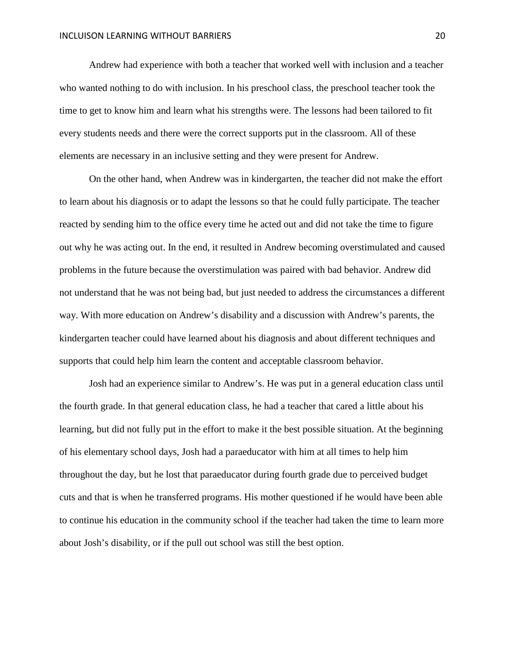Andrew had experience with both a teacher that worked well with inclusion and a teacher who wanted nothing to do with inclusion. In his preschool class, the preschool teacher took the time to get to know him and learn what his strengths were. The lessons had been tailored to fit every students needs and there were the correct supports put in the classroom. All of these elements are necessary in an inclusive setting and they were present for Andrew.

On the other hand, when Andrew was in kindergarten, the teacher did not make the effort to learn about his diagnosis or to adapt the lessons so that he could fully participate. The teacher reacted by sending him to the office every time he acted out and did not take the time to figure out why he was acting out. In the end, it resulted in Andrew becoming overstimulated and caused problems in the future because the overstimulation was paired with bad behavior. Andrew did not understand that he was not being bad, but just needed to address the circumstances a different way. With more education on Andrew's disability and a discussion with Andrew's parents, the kindergarten teacher could have learned about his diagnosis and about different techniques and supports that could help him learn the content and acceptable classroom behavior.

Josh had an experience similar to Andrew's. He was put in a general education class until the fourth grade. In that general education class, he had a teacher that cared a little about his learning, but did not fully put in the effort to make it the best possible situation. At the beginning of his elementary school days, Josh had a paraeducator with him at all times to help him throughout the day, but he lost that paraeducator during fourth grade due to perceived budget cuts and that is when he transferred programs. His mother questioned if he would have been able to continue his education in the community school if the teacher had taken the time to learn more about Josh's disability, or if the pull out school was still the best option.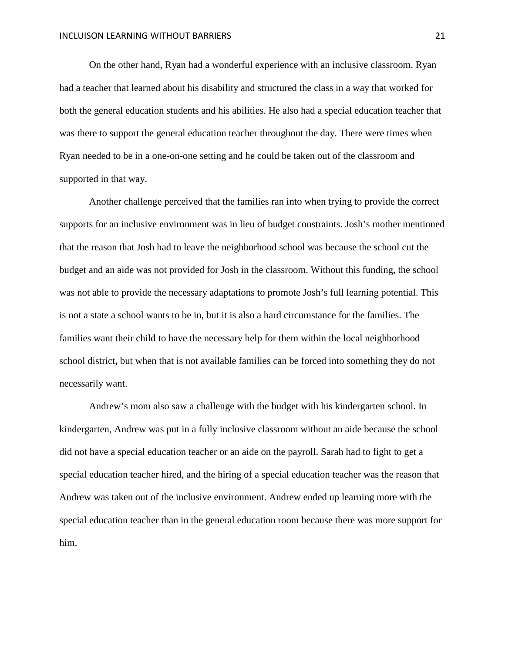On the other hand, Ryan had a wonderful experience with an inclusive classroom. Ryan had a teacher that learned about his disability and structured the class in a way that worked for both the general education students and his abilities. He also had a special education teacher that was there to support the general education teacher throughout the day. There were times when Ryan needed to be in a one-on-one setting and he could be taken out of the classroom and supported in that way.

Another challenge perceived that the families ran into when trying to provide the correct supports for an inclusive environment was in lieu of budget constraints. Josh's mother mentioned that the reason that Josh had to leave the neighborhood school was because the school cut the budget and an aide was not provided for Josh in the classroom. Without this funding, the school was not able to provide the necessary adaptations to promote Josh's full learning potential. This is not a state a school wants to be in, but it is also a hard circumstance for the families. The families want their child to have the necessary help for them within the local neighborhood school district**,** but when that is not available families can be forced into something they do not necessarily want.

Andrew's mom also saw a challenge with the budget with his kindergarten school. In kindergarten, Andrew was put in a fully inclusive classroom without an aide because the school did not have a special education teacher or an aide on the payroll. Sarah had to fight to get a special education teacher hired, and the hiring of a special education teacher was the reason that Andrew was taken out of the inclusive environment. Andrew ended up learning more with the special education teacher than in the general education room because there was more support for him.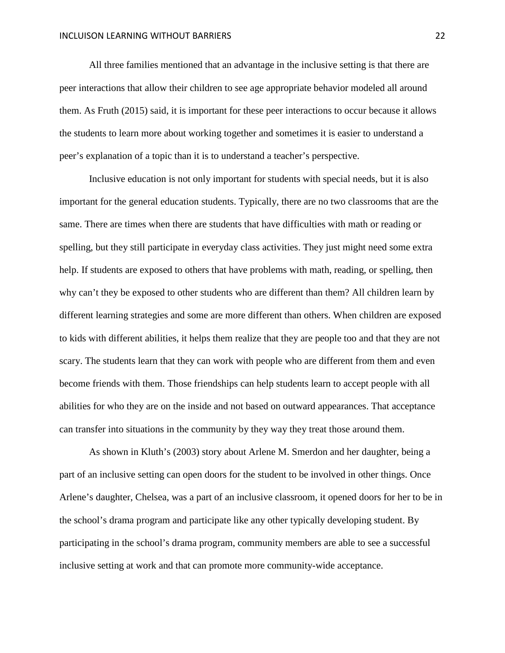All three families mentioned that an advantage in the inclusive setting is that there are peer interactions that allow their children to see age appropriate behavior modeled all around them. As Fruth (2015) said, it is important for these peer interactions to occur because it allows the students to learn more about working together and sometimes it is easier to understand a peer's explanation of a topic than it is to understand a teacher's perspective.

Inclusive education is not only important for students with special needs, but it is also important for the general education students. Typically, there are no two classrooms that are the same. There are times when there are students that have difficulties with math or reading or spelling, but they still participate in everyday class activities. They just might need some extra help. If students are exposed to others that have problems with math, reading, or spelling, then why can't they be exposed to other students who are different than them? All children learn by different learning strategies and some are more different than others. When children are exposed to kids with different abilities, it helps them realize that they are people too and that they are not scary. The students learn that they can work with people who are different from them and even become friends with them. Those friendships can help students learn to accept people with all abilities for who they are on the inside and not based on outward appearances. That acceptance can transfer into situations in the community by they way they treat those around them.

As shown in Kluth's (2003) story about Arlene M. Smerdon and her daughter, being a part of an inclusive setting can open doors for the student to be involved in other things. Once Arlene's daughter, Chelsea, was a part of an inclusive classroom, it opened doors for her to be in the school's drama program and participate like any other typically developing student. By participating in the school's drama program, community members are able to see a successful inclusive setting at work and that can promote more community-wide acceptance.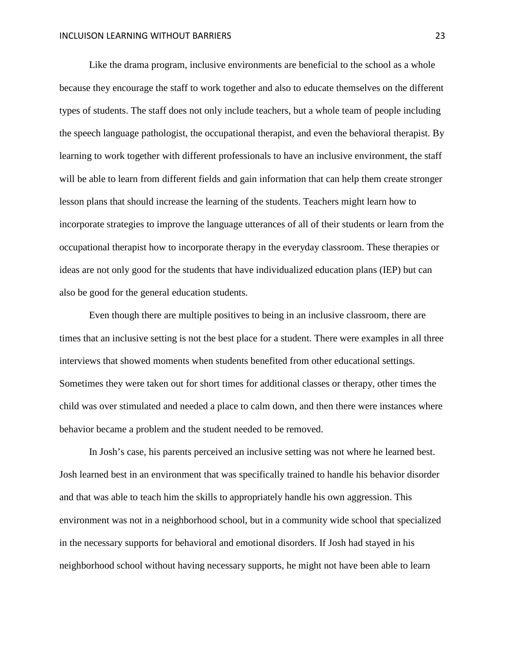Like the drama program, inclusive environments are beneficial to the school as a whole because they encourage the staff to work together and also to educate themselves on the different types of students. The staff does not only include teachers, but a whole team of people including the speech language pathologist, the occupational therapist, and even the behavioral therapist. By learning to work together with different professionals to have an inclusive environment, the staff will be able to learn from different fields and gain information that can help them create stronger lesson plans that should increase the learning of the students. Teachers might learn how to incorporate strategies to improve the language utterances of all of their students or learn from the occupational therapist how to incorporate therapy in the everyday classroom. These therapies or ideas are not only good for the students that have individualized education plans (IEP) but can also be good for the general education students.

Even though there are multiple positives to being in an inclusive classroom, there are times that an inclusive setting is not the best place for a student. There were examples in all three interviews that showed moments when students benefited from other educational settings. Sometimes they were taken out for short times for additional classes or therapy, other times the child was over stimulated and needed a place to calm down, and then there were instances where behavior became a problem and the student needed to be removed.

In Josh's case, his parents perceived an inclusive setting was not where he learned best. Josh learned best in an environment that was specifically trained to handle his behavior disorder and that was able to teach him the skills to appropriately handle his own aggression. This environment was not in a neighborhood school, but in a community wide school that specialized in the necessary supports for behavioral and emotional disorders. If Josh had stayed in his neighborhood school without having necessary supports, he might not have been able to learn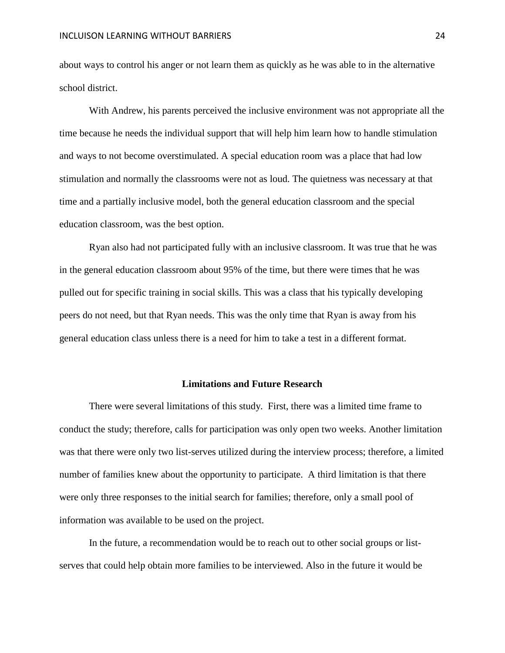about ways to control his anger or not learn them as quickly as he was able to in the alternative school district.

With Andrew, his parents perceived the inclusive environment was not appropriate all the time because he needs the individual support that will help him learn how to handle stimulation and ways to not become overstimulated. A special education room was a place that had low stimulation and normally the classrooms were not as loud. The quietness was necessary at that time and a partially inclusive model, both the general education classroom and the special education classroom, was the best option.

Ryan also had not participated fully with an inclusive classroom. It was true that he was in the general education classroom about 95% of the time, but there were times that he was pulled out for specific training in social skills. This was a class that his typically developing peers do not need, but that Ryan needs. This was the only time that Ryan is away from his general education class unless there is a need for him to take a test in a different format.

#### **Limitations and Future Research**

There were several limitations of this study. First, there was a limited time frame to conduct the study; therefore, calls for participation was only open two weeks. Another limitation was that there were only two list-serves utilized during the interview process; therefore, a limited number of families knew about the opportunity to participate. A third limitation is that there were only three responses to the initial search for families; therefore, only a small pool of information was available to be used on the project.

In the future, a recommendation would be to reach out to other social groups or listserves that could help obtain more families to be interviewed. Also in the future it would be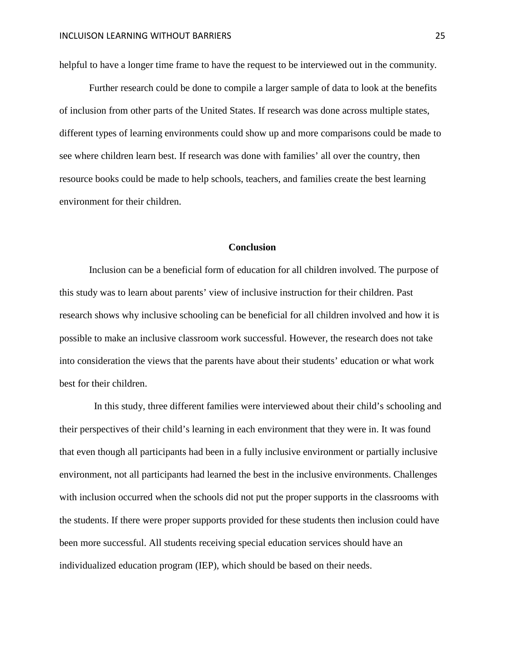helpful to have a longer time frame to have the request to be interviewed out in the community.

Further research could be done to compile a larger sample of data to look at the benefits of inclusion from other parts of the United States. If research was done across multiple states, different types of learning environments could show up and more comparisons could be made to see where children learn best. If research was done with families' all over the country, then resource books could be made to help schools, teachers, and families create the best learning environment for their children.

# **Conclusion**

Inclusion can be a beneficial form of education for all children involved. The purpose of this study was to learn about parents' view of inclusive instruction for their children. Past research shows why inclusive schooling can be beneficial for all children involved and how it is possible to make an inclusive classroom work successful. However, the research does not take into consideration the views that the parents have about their students' education or what work best for their children.

 In this study, three different families were interviewed about their child's schooling and their perspectives of their child's learning in each environment that they were in. It was found that even though all participants had been in a fully inclusive environment or partially inclusive environment, not all participants had learned the best in the inclusive environments. Challenges with inclusion occurred when the schools did not put the proper supports in the classrooms with the students. If there were proper supports provided for these students then inclusion could have been more successful. All students receiving special education services should have an individualized education program (IEP), which should be based on their needs.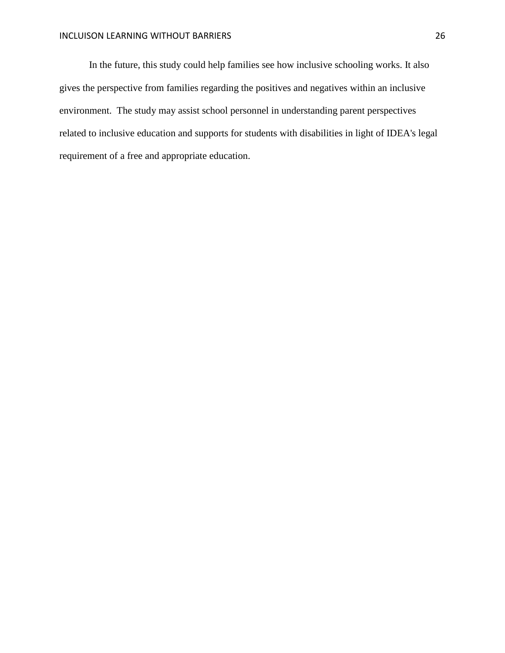In the future, this study could help families see how inclusive schooling works. It also gives the perspective from families regarding the positives and negatives within an inclusive environment. The study may assist school personnel in understanding parent perspectives related to inclusive education and supports for students with disabilities in light of IDEA's legal requirement of a free and appropriate education.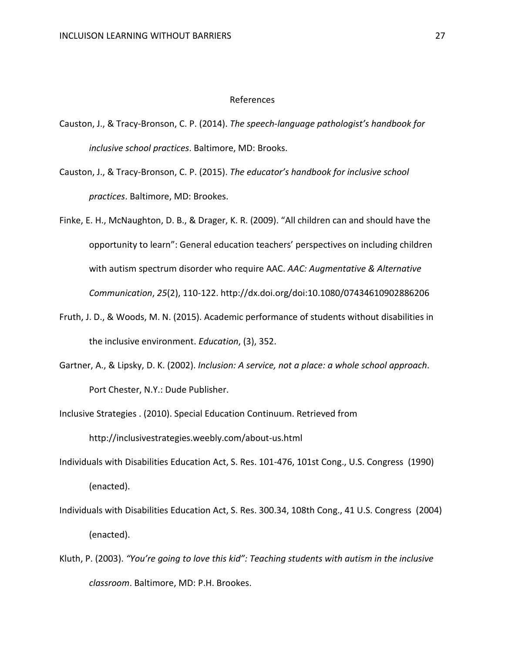#### References

- Causton, J., & Tracy-Bronson, C. P. (2014). *The speech-language pathologist's handbook for inclusive school practices*. Baltimore, MD: Brooks.
- Causton, J., & Tracy-Bronson, C. P. (2015). *The educator's handbook for inclusive school practices*. Baltimore, MD: Brookes.
- Finke, E. H., McNaughton, D. B., & Drager, K. R. (2009). "All children can and should have the opportunity to learn": General education teachers' perspectives on including children with autism spectrum disorder who require AAC. *AAC: Augmentative & Alternative Communication*, *25*(2), 110-122. http://dx.doi.org/doi:10.1080/07434610902886206
- Fruth, J. D., & Woods, M. N. (2015). Academic performance of students without disabilities in the inclusive environment. *Education*, (3), 352.
- Gartner, A., & Lipsky, D. K. (2002). *Inclusion: A service, not a place: a whole school approach*. Port Chester, N.Y.: Dude Publisher.
- Inclusive Strategies . (2010). Special Education Continuum. Retrieved from

http://inclusivestrategies.weebly.com/about-us.html

- Individuals with Disabilities Education Act, S. Res. 101-476, 101st Cong., U.S. Congress (1990) (enacted).
- Individuals with Disabilities Education Act, S. Res. 300.34, 108th Cong., 41 U.S. Congress (2004) (enacted).
- Kluth, P. (2003). *"You're going to love this kid": Teaching students with autism in the inclusive classroom*. Baltimore, MD: P.H. Brookes.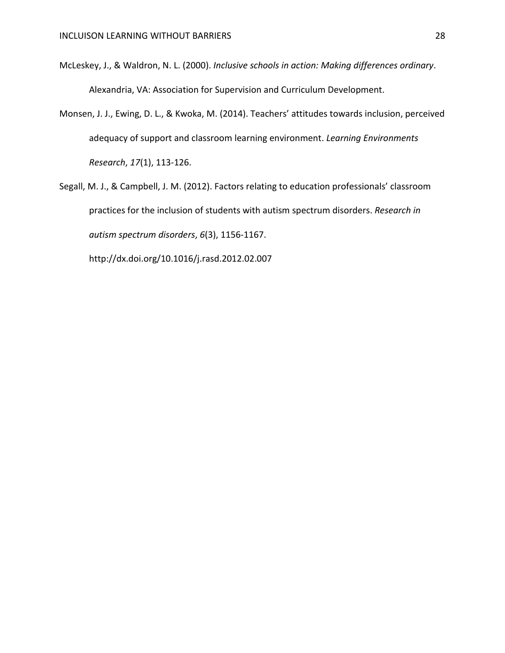- McLeskey, J., & Waldron, N. L. (2000). *Inclusive schools in action: Making differences ordinary*. Alexandria, VA: Association for Supervision and Curriculum Development.
- Monsen, J. J., Ewing, D. L., & Kwoka, M. (2014). Teachers' attitudes towards inclusion, perceived adequacy of support and classroom learning environment. *Learning Environments Research*, *17*(1), 113-126.
- Segall, M. J., & Campbell, J. M. (2012). Factors relating to education professionals' classroom practices for the inclusion of students with autism spectrum disorders. *Research in autism spectrum disorders*, *6*(3), 1156-1167.

http://dx.doi.org/10.1016/j.rasd.2012.02.007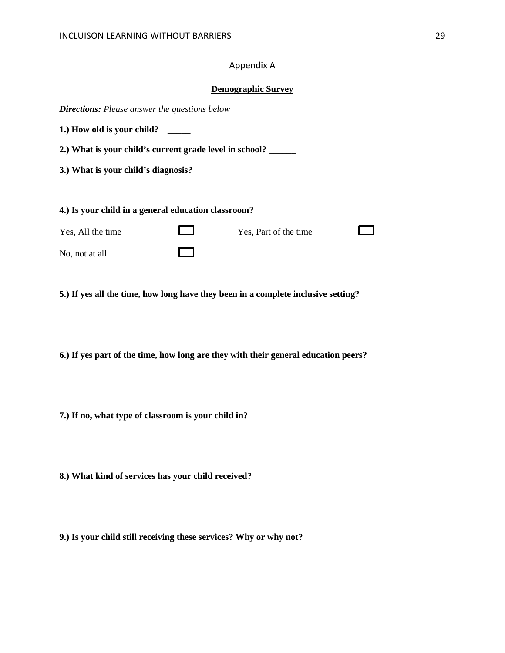# Appendix A

#### **Demographic Survey**

*Directions: Please answer the questions below*

**1.) How old is your child? \_\_\_\_\_**

**2.) What is your child's current grade level in school? \_\_\_\_\_\_**

**3.) What is your child's diagnosis?**

**4.) Is your child in a general education classroom?** 

Yes, All the time Yes, Part of the time  $\Box$ ш No, not at all

**5.) If yes all the time, how long have they been in a complete inclusive setting?**

**6.) If yes part of the time, how long are they with their general education peers?**

**7.) If no, what type of classroom is your child in?**

**8.) What kind of services has your child received?**

**9.) Is your child still receiving these services? Why or why not?**